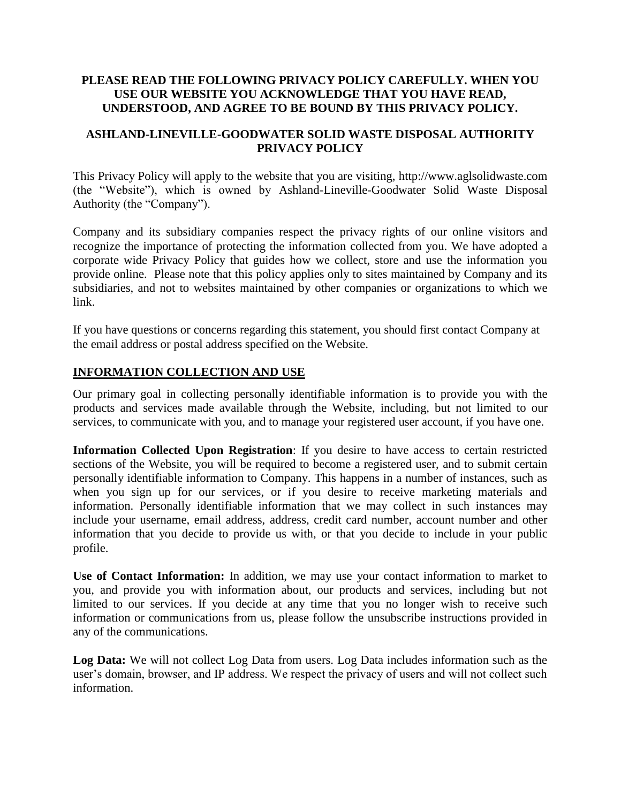## **PLEASE READ THE FOLLOWING PRIVACY POLICY CAREFULLY. WHEN YOU USE OUR WEBSITE YOU ACKNOWLEDGE THAT YOU HAVE READ, UNDERSTOOD, AND AGREE TO BE BOUND BY THIS PRIVACY POLICY.**

## **ASHLAND-LINEVILLE-GOODWATER SOLID WASTE DISPOSAL AUTHORITY PRIVACY POLICY**

This Privacy Policy will apply to the website that you are visiting, http://www.aglsolidwaste.com (the "Website"), which is owned by Ashland-Lineville-Goodwater Solid Waste Disposal Authority (the "Company").

Company and its subsidiary companies respect the privacy rights of our online visitors and recognize the importance of protecting the information collected from you. We have adopted a corporate wide Privacy Policy that guides how we collect, store and use the information you provide online. Please note that this policy applies only to sites maintained by Company and its subsidiaries, and not to websites maintained by other companies or organizations to which we link.

If you have questions or concerns regarding this statement, you should first contact Company at the email address or postal address specified on the Website.

## **INFORMATION COLLECTION AND USE**

Our primary goal in collecting personally identifiable information is to provide you with the products and services made available through the Website, including, but not limited to our services, to communicate with you, and to manage your registered user account, if you have one.

**Information Collected Upon Registration**: If you desire to have access to certain restricted sections of the Website, you will be required to become a registered user, and to submit certain personally identifiable information to Company. This happens in a number of instances, such as when you sign up for our services, or if you desire to receive marketing materials and information. Personally identifiable information that we may collect in such instances may include your username, email address, address, credit card number, account number and other information that you decide to provide us with, or that you decide to include in your public profile.

**Use of Contact Information:** In addition, we may use your contact information to market to you, and provide you with information about, our products and services, including but not limited to our services. If you decide at any time that you no longer wish to receive such information or communications from us, please follow the unsubscribe instructions provided in any of the communications.

**Log Data:** We will not collect Log Data from users. Log Data includes information such as the user's domain, browser, and IP address. We respect the privacy of users and will not collect such information.